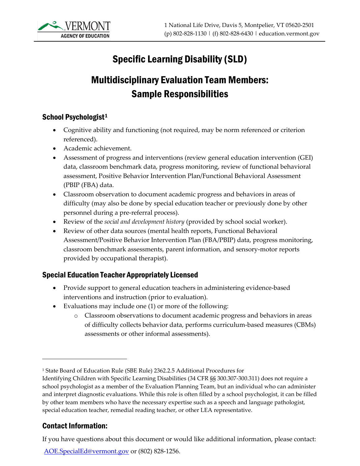

# Specific Learning Disability (SLD)

# Multidisciplinary Evaluation Team Members: Sample Responsibilities

#### School Psychologist<sup>[1](#page-0-0)</sup>

- Cognitive ability and functioning (not required, may be norm referenced or criterion referenced).
- Academic achievement.
- Assessment of progress and interventions (review general education intervention (GEI) data, classroom benchmark data, progress monitoring, review of functional behavioral assessment, Positive Behavior Intervention Plan/Functional Behavioral Assessment (PBIP (FBA) data.
- Classroom observation to document academic progress and behaviors in areas of difficulty (may also be done by special education teacher or previously done by other personnel during a pre-referral process).
- Review of the *social and development history* (provided by school social worker).
- Review of other data sources (mental health reports, Functional Behavioral Assessment/Positive Behavior Intervention Plan (FBA/PBIP) data, progress monitoring, classroom benchmark assessments, parent information, and sensory-motor reports provided by occupational therapist).

### Special Education Teacher Appropriately Licensed

- Provide support to general education teachers in administering evidence-based interventions and instruction (prior to evaluation).
- Evaluations may include one (1) or more of the following:
	- o Classroom observations to document academic progress and behaviors in areas of difficulty collects behavior data, performs curriculum-based measures (CBMs) assessments or other informal assessments).

#### Contact Information:

If you have questions about this document or would like additional information, please contact:

[AOE.SpecialEd@vermont.gov](mailto:AOE.SpecialEd@vermont.gov?subject=Web%20Request%20-%20TA%3A%20) or (802) 828-1256.

<span id="page-0-0"></span><sup>1</sup> State Board of Education Rule (SBE Rule) 2362.2.5 Additional Procedures for

Identifying Children with Specific Learning Disabilities (34 CFR §§ 300.307-300.311) does not require a school psychologist as a member of the Evaluation Planning Team, but an individual who can administer and interpret diagnostic evaluations. While this role is often filled by a school psychologist, it can be filled by other team members who have the necessary expertise such as a speech and language pathologist, special education teacher, remedial reading teacher, or other LEA representative.